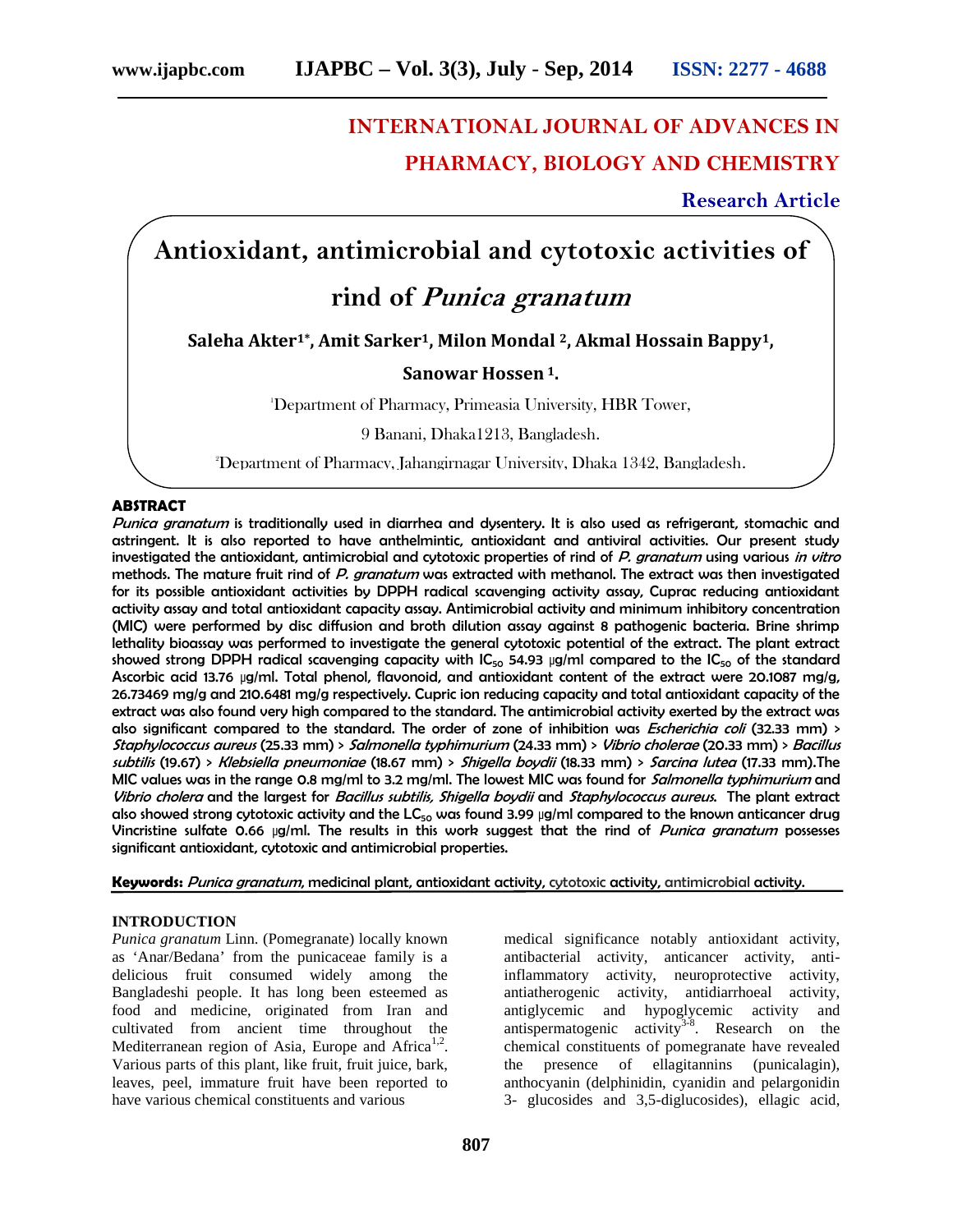# **INTERNATIONAL JOURNAL OF ADVANCES IN PHARMACY, BIOLOGY AND CHEMISTRY**

**Research Article**

# **Antioxidant, antimicrobial and cytotoxic activities of**

# **rind of** *Punica granatum*

**Saleha Akter1\*, Amit Sarker1, Milon Mondal <sup>2</sup>, Akmal Hossain Bappy1,**

# **Sanowar Hossen <sup>1</sup>.**

<sup>1</sup>Department of Pharmacy, Primeasia University, HBR Tower,

9 Banani, Dhaka1213, Bangladesh.

2Department of Pharmacy, Jahangirnagar University, Dhaka 1342, Bangladesh.

# **ABSTRACT**

*Punica granatum* is traditionally used in diarrhea and dysentery. It is also used as refrigerant, stomachic and astringent. It is also reported to have anthelmintic, antioxidant and antiviral activities. Our present study investigated the antioxidant, antimicrobial and cytotoxic properties of rind of *P. granatum* using various *in vitro* methods. The mature fruit rind of *P. granatum* was extracted with methanol. The extract was then investigated for its possible antioxidant activities by DPPH radical scavenging activity assay, Cuprac reducing antioxidant activity assay and total antioxidant capacity assay. Antimicrobial activity and minimum inhibitory concentration (MIC) were performed by disc diffusion and broth dilution assay against 8 pathogenic bacteria. Brine shrimp lethality bioassay was performed to investigate the general cytotoxic potential of the extract. The plant extract showed strong DPPH radical scavenging capacity with  $IC_{50}$  54.93 µg/ml compared to the  $IC_{50}$  of the standard Ascorbic acid 13.76 µg/ml. Total phenol, flavonoid, and antioxidant content of the extract were 20.1087 mg/g, 26.73469 mg/g and 210.6481 mg/g respectively. Cupric ion reducing capacity and total antioxidant capacity of the extract was also found very high compared to the standard. The antimicrobial activity exerted by the extract was also significant compared to the standard. The order of zone of inhibition was *Escherichia coli* (32.33 mm) > *Staphylococcus aureus* (25.33 mm) > *Salmonella typhimurium* (24.33 mm) > *Vibrio cholerae* (20.33 mm) > *Bacillus subtilis* (19.67) > *Klebsiella pneumoniae* (18.67 mm) > *Shigella boydii* (18.33 mm) > *Sarcina lutea* (17.33 mm).The MIC values was in the range 0.8 mg/ml to 3.2 mg/ml. The lowest MIC was found for *Salmonella typhimurium* and *Vibrio cholera* and the largest for *Bacillus subtilis, Shigella boydii* and *Staphylococcus aureus*. The plant extract also showed strong cytotoxic activity and the  $LC_{50}$  was found 3.99 µg/ml compared to the known anticancer drug Vincristine sulfate 0.66 µg/ml. The results in this work suggest that the rind of *Punica granatum* possesses significant antioxidant, cytotoxic and antimicrobial properties.

**Keywords:** *Punica granatum*, medicinal plant, antioxidant activity, cytotoxic activity, antimicrobial activity.

# **INTRODUCTION**

*Punica granatum* Linn. (Pomegranate) locally known as 'Anar/Bedana' from the punicaceae family is a delicious fruit consumed widely among the Bangladeshi people. It has long been esteemed as food and medicine, originated from Iran and cultivated from ancient time throughout the Mediterranean region of Asia, Europe and Africa<sup>1,2</sup>. Various parts of this plant, like fruit, fruit juice, bark, leaves, peel, immature fruit have been reported to have various chemical constituents and various

medical significance notably antioxidant activity, antibacterial activity, anticancer activity, antiinflammatory activity, neuroprotective activity, antiatherogenic activity, antidiarrhoeal activity, antiglycemic and hypoglycemic activity and antispermatogenic activity<sup>3-8</sup>. Research on the chemical constituents of pomegranate have revealed the presence of ellagitannins (punicalagin), anthocyanin (delphinidin, cyanidin and pelargonidin 3- glucosides and 3,5-diglucosides), ellagic acid,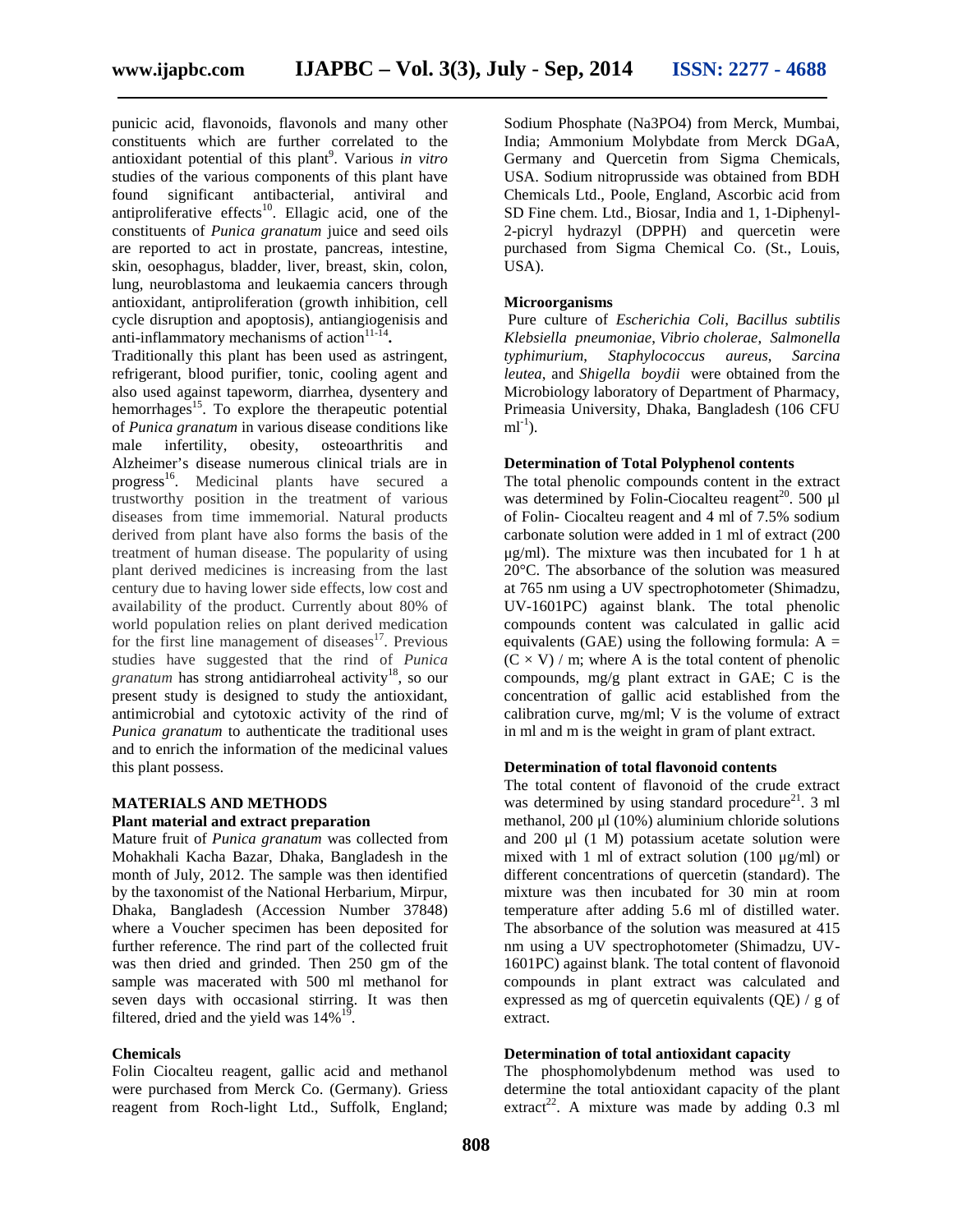punicic acid, flavonoids, flavonols and many other constituents which are further correlated to the antioxidant potential of this plant<sup>9</sup>. Various *in vitro* studies of the various components of this plant have found significant antibacterial, antiviral and antiproliferative effects<sup>10</sup>. Ellagic acid, one of the constituents of *Punica granatum* juice and seed oils are reported to act in prostate, pancreas, intestine, skin, oesophagus, bladder, liver, breast, skin, colon, lung, neuroblastoma and leukaemia cancers through antioxidant, antiproliferation (growth inhibition, cell cycle disruption and apoptosis), antiangiogenisis and anti-inflammatory mechanisms of action<sup>11-14</sup>.

Traditionally this plant has been used as astringent, refrigerant, blood purifier, tonic, cooling agent and also used against tapeworm, diarrhea, dysentery and hemorrhages<sup>15</sup>. To explore the therapeutic potential of *Punica granatum* in various disease conditions like male infertility, obesity, osteoarthritis and Alzheimer's disease numerous clinical trials are in progress<sup>16</sup>. Medicinal plants have secured a trustworthy position in the treatment of various diseases from time immemorial. Natural products derived from plant have also forms the basis of the treatment of human disease. The popularity of using plant derived medicines is increasing from the last century due to having lower side effects, low cost and availability of the product. Currently about 80% of world population relies on plant derived medication for the first line management of diseases $17$ . Previous studies have suggested that the rind of *Punica granatum* has strong antidiarroheal activity<sup>18</sup>, so our present study is designed to study the antioxidant, antimicrobial and cytotoxic activity of the rind of *Punica granatum* to authenticate the traditional uses and to enrich the information of the medicinal values this plant possess.

# **MATERIALS AND METHODS**

# **Plant material and extract preparation**

Mature fruit of *Punica granatum* was collected from Mohakhali Kacha Bazar, Dhaka, Bangladesh in the month of July, 2012. The sample was then identified by the taxonomist of the National Herbarium, Mirpur, Dhaka, Bangladesh (Accession Number 37848) where a Voucher specimen has been deposited for further reference. The rind part of the collected fruit was then dried and grinded. Then 250 gm of the sample was macerated with 500 ml methanol for seven days with occasional stirring. It was then filtered, dried and the yield was  $14\%^{19}$ .

## **Chemicals**

Folin Ciocalteu reagent, gallic acid and methanol were purchased from Merck Co. (Germany). Griess reagent from Roch-light Ltd., Suffolk, England; Sodium Phosphate (Na3PO4) from Merck, Mumbai, India; Ammonium Molybdate from Merck DGaA, Germany and Quercetin from Sigma Chemicals, USA. Sodium nitroprusside was obtained from BDH Chemicals Ltd., Poole, England, Ascorbic acid from SD Fine chem. Ltd., Biosar, India and 1, 1-Diphenyl- 2-picryl hydrazyl (DPPH) and quercetin were purchased from Sigma Chemical Co. (St., Louis, USA).

#### **Microorganisms**

Pure culture of *Escherichia Coli*, *Bacillus subtilis Klebsiella pneumoniae*, *Vibrio cholerae*, *Salmonella typhimurium*, *Staphylococcus aureus*, *Sarcina leutea*, and *Shigella boydii* were obtained from the Microbiology laboratory of Department of Pharmacy, Primeasia University, Dhaka, Bangladesh (106 CFU  $ml^{-1}$ ).

# **Determination of Total Polyphenol contents**

The total phenolic compounds content in the extract was determined by Folin-Ciocalteu reagent<sup>20</sup>. 500  $\mu$ l of Folin- Ciocalteu reagent and 4 ml of 7.5% sodium carbonate solution were added in 1 ml of extract (200 μg/ml). The mixture was then incubated for 1 h at 20°C. The absorbance of the solution was measured at 765 nm using a UV spectrophotometer (Shimadzu, UV-1601PC) against blank. The total phenolic compounds content was calculated in gallic acid equivalents (GAE) using the following formula:  $A =$  $(C \times V)$  / m; where A is the total content of phenolic compounds, mg/g plant extract in GAE; C is the concentration of gallic acid established from the calibration curve, mg/ml; V is the volume of extract in ml and m is the weight in gram of plant extract.

#### **Determination of total flavonoid contents**

The total content of flavonoid of the crude extract was determined by using standard procedure<sup>21</sup>. 3 ml methanol, 200 μl (10%) aluminium chloride solutions and 200 μl (1 M) potassium acetate solution were mixed with 1 ml of extract solution (100 μg/ml) or different concentrations of quercetin (standard). The mixture was then incubated for 30 min at room temperature after adding 5.6 ml of distilled water. The absorbance of the solution was measured at 415 nm using a UV spectrophotometer (Shimadzu, UV- 1601PC) against blank. The total content of flavonoid compounds in plant extract was calculated and expressed as mg of quercetin equivalents (QE) / g of extract.

#### **Determination of total antioxidant capacity**

The phosphomolybdenum method was used to determine the total antioxidant capacity of the plant extract<sup>22</sup>. A mixture was made by adding  $0.3$  ml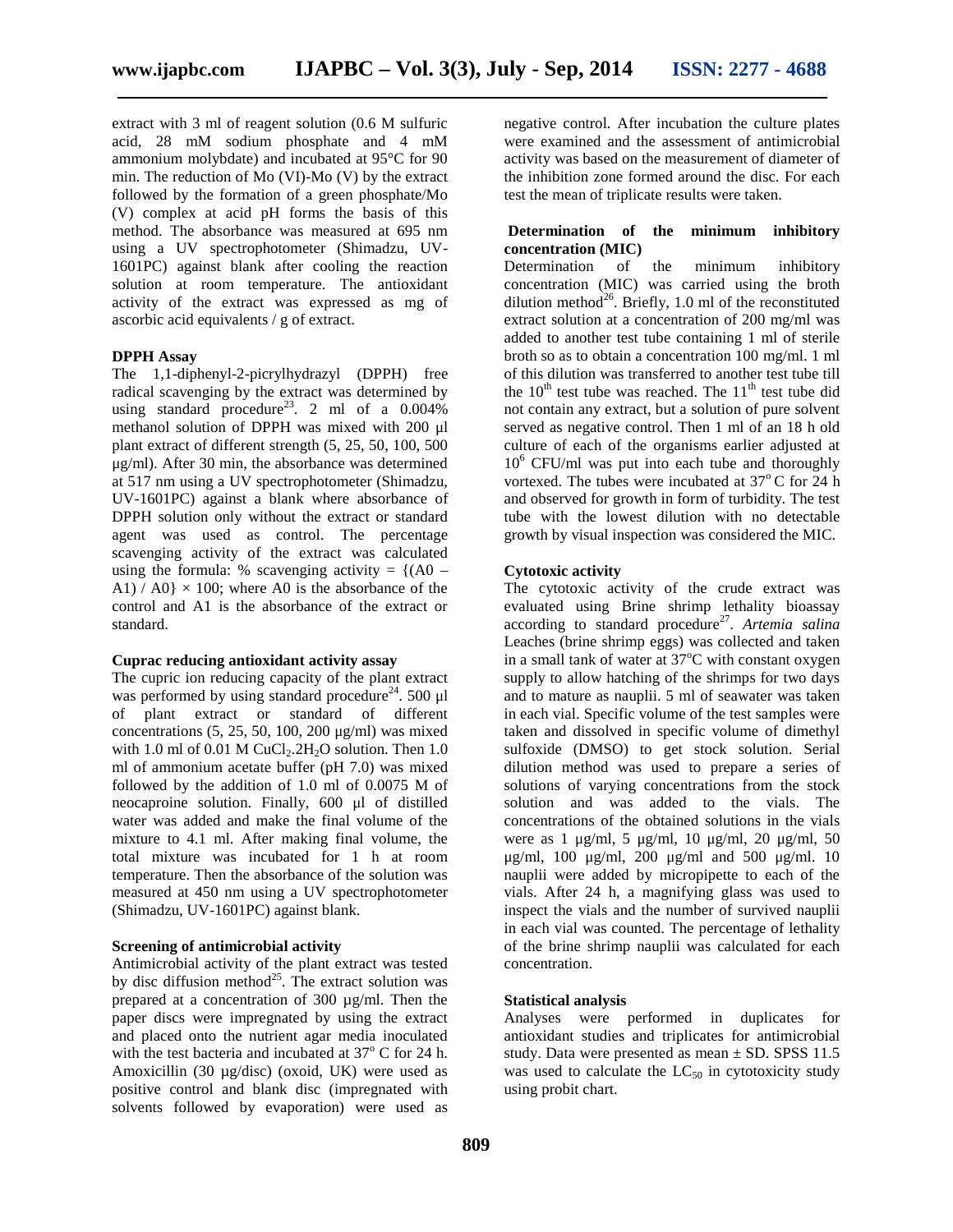extract with 3 ml of reagent solution (0.6 M sulfuric acid, 28 mM sodium phosphate and 4 mM ammonium molybdate) and incubated at 95°C for 90 min. The reduction of Mo (VI)-Mo (V) by the extract followed by the formation of a green phosphate/Mo (V) complex at acid pH forms the basis of this method. The absorbance was measured at 695 nm using a UV spectrophotometer (Shimadzu, UV- 1601PC) against blank after cooling the reaction solution at room temperature. The antioxidant activity of the extract was expressed as mg of ascorbic acid equivalents / g of extract.

#### **DPPH Assay**

The 1,1-diphenyl-2-picrylhydrazyl (DPPH) free radical scavenging by the extract was determined by using standard procedure<sup>23</sup>. 2 ml of a  $0.004\%$ methanol solution of DPPH was mixed with 200 μl plant extract of different strength (5, 25, 50, 100, 500 μg/ml). After 30 min, the absorbance was determined at 517 nm using a UV spectrophotometer (Shimadzu, UV-1601PC) against a blank where absorbance of DPPH solution only without the extract or standard agent was used as control. The percentage scavenging activity of the extract was calculated using the formula: % scavenging activity =  ${(AO -$ A1) / A0}  $\times$  100; where A0 is the absorbance of the control and A1 is the absorbance of the extract or standard.

# **Cuprac reducing antioxidant activity assay**

The cupric ion reducing capacity of the plant extract was performed by using standard procedure<sup>24</sup>. 500  $\mu$ l of plant extract or standard of different concentrations  $(5, 25, 50, 100, 200 \mu g/ml)$  was mixed with 1.0 ml of 0.01 M CuCl<sub>2</sub>.2H<sub>2</sub>O solution. Then 1.0 ml of ammonium acetate buffer (pH 7.0) was mixed followed by the addition of 1.0 ml of 0.0075 M of neocaproine solution. Finally, 600 μl of distilled water was added and make the final volume of the mixture to 4.1 ml. After making final volume, the total mixture was incubated for 1 h at room temperature. Then the absorbance of the solution was measured at 450 nm using a UV spectrophotometer (Shimadzu, UV-1601PC) against blank.

# **Screening of antimicrobial activity**

Antimicrobial activity of the plant extract was tested by disc diffusion method<sup>25</sup>. The extract solution was prepared at a concentration of 300 µg/ml. Then the paper discs were impregnated by using the extract and placed onto the nutrient agar media inoculated with the test bacteria and incubated at  $37^{\circ}$  C for 24 h. Amoxicillin (30 µg/disc) (oxoid, UK) were used as positive control and blank disc (impregnated with solvents followed by evaporation) were used as

negative control. After incubation the culture plates were examined and the assessment of antimicrobial activity was based on the measurement of diameter of the inhibition zone formed around the disc. For each test the mean of triplicate results were taken.

# **Determination of the minimum inhibitory concentration (MIC)**

Determination of the minimum inhibitory concentration (MIC) was carried using the broth dilution method<sup>26</sup>. Briefly, 1.0 ml of the reconstituted extract solution at a concentration of 200 mg/ml was added to another test tube containing 1 ml of sterile broth so as to obtain a concentration 100 mg/ml. 1 ml of this dilution was transferred to another test tube till the  $10<sup>th</sup>$  test tube was reached. The  $11<sup>th</sup>$  test tube did not contain any extract, but a solution of pure solvent served as negative control. Then 1 ml of an 18 h old culture of each of the organisms earlier adjusted at  $10<sup>6</sup>$  CFU/ml was put into each tube and thoroughly vortexed. The tubes were incubated at  $37^{\circ}$  C for 24 h and observed for growth in form of turbidity. The test tube with the lowest dilution with no detectable growth by visual inspection was considered the MIC.

#### **Cytotoxic activity**

The cytotoxic activity of the crude extract was evaluated using Brine shrimp lethality bioassay according to standard procedure<sup>27</sup>. Artemia salina Leaches (brine shrimp eggs) was collected and taken in a small tank of water at  $37^{\circ}$ C with constant oxygen supply to allow hatching of the shrimps for two days and to mature as nauplii. 5 ml of seawater was taken in each vial. Specific volume of the test samples were taken and dissolved in specific volume of dimethyl sulfoxide (DMSO) to get stock solution. Serial dilution method was used to prepare a series of solutions of varying concentrations from the stock solution and was added to the vials. The concentrations of the obtained solutions in the vials were as 1 μg/ml, 5 μg/ml, 10 μg/ml, 20 μg/ml, 50 μg/ml, 100 μg/ml, 200 μg/ml and 500 μg/ml. 10 nauplii were added by micropipette to each of the vials. After 24 h, a magnifying glass was used to inspect the vials and the number of survived nauplii in each vial was counted. The percentage of lethality of the brine shrimp nauplii was calculated for each concentration.

# **Statistical analysis**

Analyses were performed in duplicates for antioxidant studies and triplicates for antimicrobial study. Data were presented as mean  $\pm$  SD. SPSS 11.5 was used to calculate the  $LC_{50}$  in cytotoxicity study using probit chart.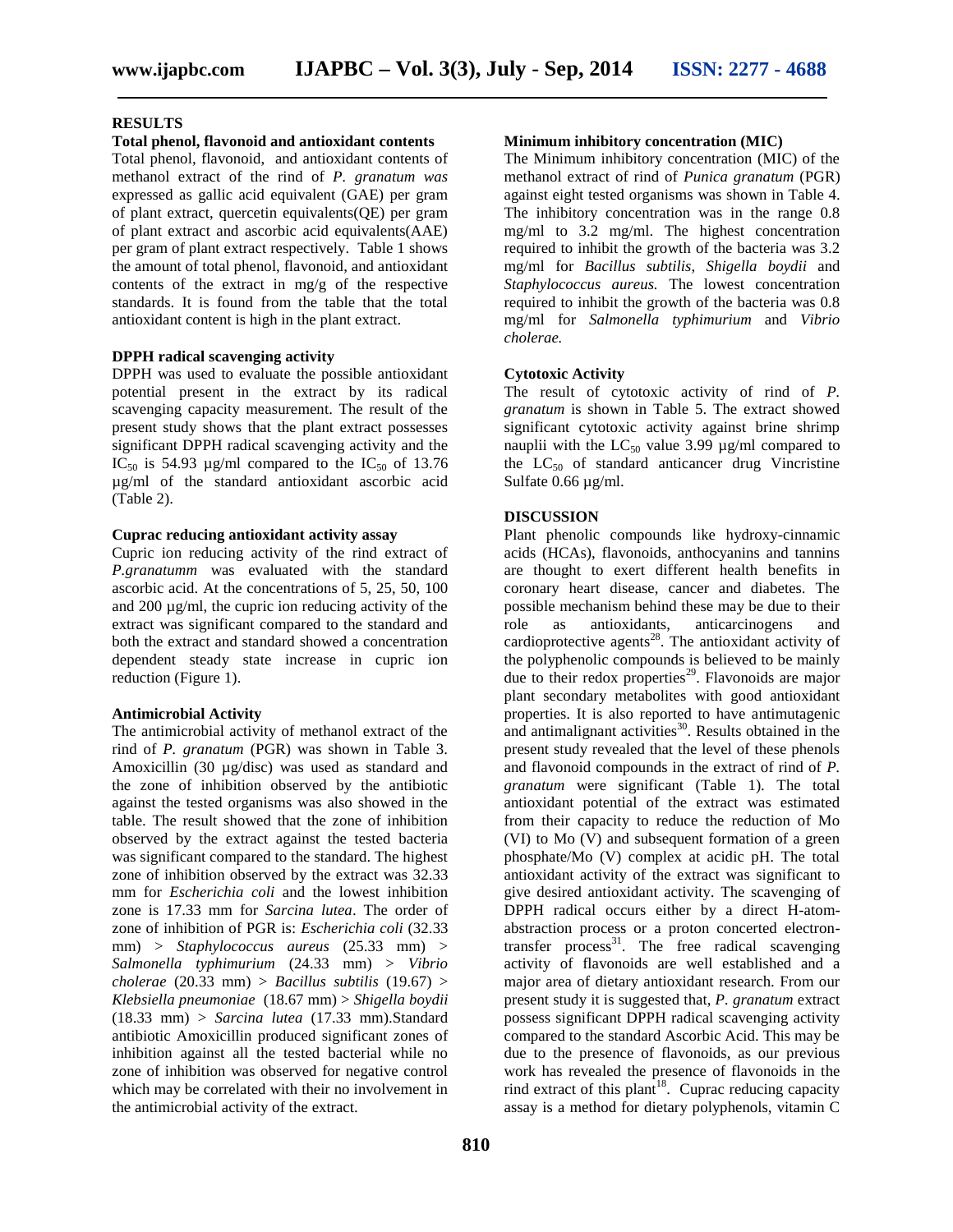#### **RESULTS**

#### **Total phenol, flavonoid and antioxidant contents**

Total phenol, flavonoid, and antioxidant contents of methanol extract of the rind of *P. granatum was* expressed as gallic acid equivalent (GAE) per gram of plant extract, quercetin equivalents(QE) per gram of plant extract and ascorbic acid equivalents(AAE) per gram of plant extract respectively. Table 1 shows the amount of total phenol, flavonoid, and antioxidant contents of the extract in mg/g of the respective standards. It is found from the table that the total antioxidant content is high in the plant extract.

#### **DPPH radical scavenging activity**

DPPH was used to evaluate the possible antioxidant potential present in the extract by its radical scavenging capacity measurement. The result of the present study shows that the plant extract possesses significant DPPH radical scavenging activity and the IC<sub>50</sub> is 54.93  $\mu$ g/ml compared to the IC<sub>50</sub> of 13.76 µg/ml of the standard antioxidant ascorbic acid (Table 2).

# **Cuprac reducing antioxidant activity assay**

Cupric ion reducing activity of the rind extract of *P.granatumm* was evaluated with the standard ascorbic acid. At the concentrations of 5, 25, 50, 100 and 200 µg/ml, the cupric ion reducing activity of the extract was significant compared to the standard and both the extract and standard showed a concentration dependent steady state increase in cupric ion reduction (Figure 1).

#### **Antimicrobial Activity**

The antimicrobial activity of methanol extract of the rind of *P. granatum* (PGR) was shown in Table 3. Amoxicillin (30 µg/disc) was used as standard and the zone of inhibition observed by the antibiotic against the tested organisms was also showed in the table. The result showed that the zone of inhibition observed by the extract against the tested bacteria was significant compared to the standard. The highest zone of inhibition observed by the extract was 32.33 mm for *Escherichia coli* and the lowest inhibition zone is 17.33 mm for *Sarcina lutea*. The order of zone of inhibition of PGR is: *Escherichia coli* (32.33 mm) > *Staphylococcus aureus* (25.33 mm) > *Salmonella typhimurium* (24.33 mm) > *Vibrio cholerae* (20.33 mm) > *Bacillus subtilis* (19.67) > *Klebsiella pneumoniae* (18.67 mm) > *Shigella boydii* (18.33 mm) > *Sarcina lutea* (17.33 mm).Standard antibiotic Amoxicillin produced significant zones of inhibition against all the tested bacterial while no zone of inhibition was observed for negative control which may be correlated with their no involvement in the antimicrobial activity of the extract.

# **Minimum inhibitory concentration (MIC)**

The Minimum inhibitory concentration (MIC) of the methanol extract of rind of *Punica granatum* (PGR) against eight tested organisms was shown in Table 4. The inhibitory concentration was in the range 0.8 mg/ml to 3.2 mg/ml. The highest concentration required to inhibit the growth of the bacteria was 3.2 mg/ml for *Bacillus subtilis*, *Shigella boydii* and *Staphylococcus aureus.* The lowest concentration required to inhibit the growth of the bacteria was 0.8 mg/ml for *Salmonella typhimurium* and *Vibrio cholerae.*

#### **Cytotoxic Activity**

The result of cytotoxic activity of rind of *P. granatum* is shown in Table 5. The extract showed significant cytotoxic activity against brine shrimp nauplii with the  $LC_{50}$  value 3.99  $\mu$ g/ml compared to the  $LC_{50}$  of standard anticancer drug Vincristine Sulfate 0.66 µg/ml.

# **DISCUSSION**

Plant phenolic compounds like hydroxy-cinnamic acids (HCAs), flavonoids, anthocyanins and tannins are thought to exert different health benefits in coronary heart disease, cancer and diabetes. The possible mechanism behind these may be due to their as antioxidants, anticarcinogens and cardioprotective agents $^{28}$ . The antioxidant activity of the polyphenolic compounds is believed to be mainly due to their redox properties $^{29}$ . Flavonoids are major plant secondary metabolites with good antioxidant properties. It is also reported to have antimutagenic and antimalignant activities $^{30}$ . Results obtained in the present study revealed that the level of these phenols and flavonoid compounds in the extract of rind of *P. granatum* were significant (Table 1). The total antioxidant potential of the extract was estimated from their capacity to reduce the reduction of Mo (VI) to Mo (V) and subsequent formation of a green phosphate/Mo (V) complex at acidic pH. The total antioxidant activity of the extract was significant to give desired antioxidant activity. The scavenging of DPPH radical occurs either by a direct H-atom abstraction process or a proton concerted electrontransfer process<sup>31</sup>. The free radical scavenging activity of flavonoids are well established and a major area of dietary antioxidant research. From our present study it is suggested that, *P. granatum* extract possess significant DPPH radical scavenging activity compared to the standard Ascorbic Acid. This may be due to the presence of flavonoids, as our previous work has revealed the presence of flavonoids in the rind extract of this plant<sup>18</sup>. Cuprac reducing capacity assay is a method for dietary polyphenols, vitamin C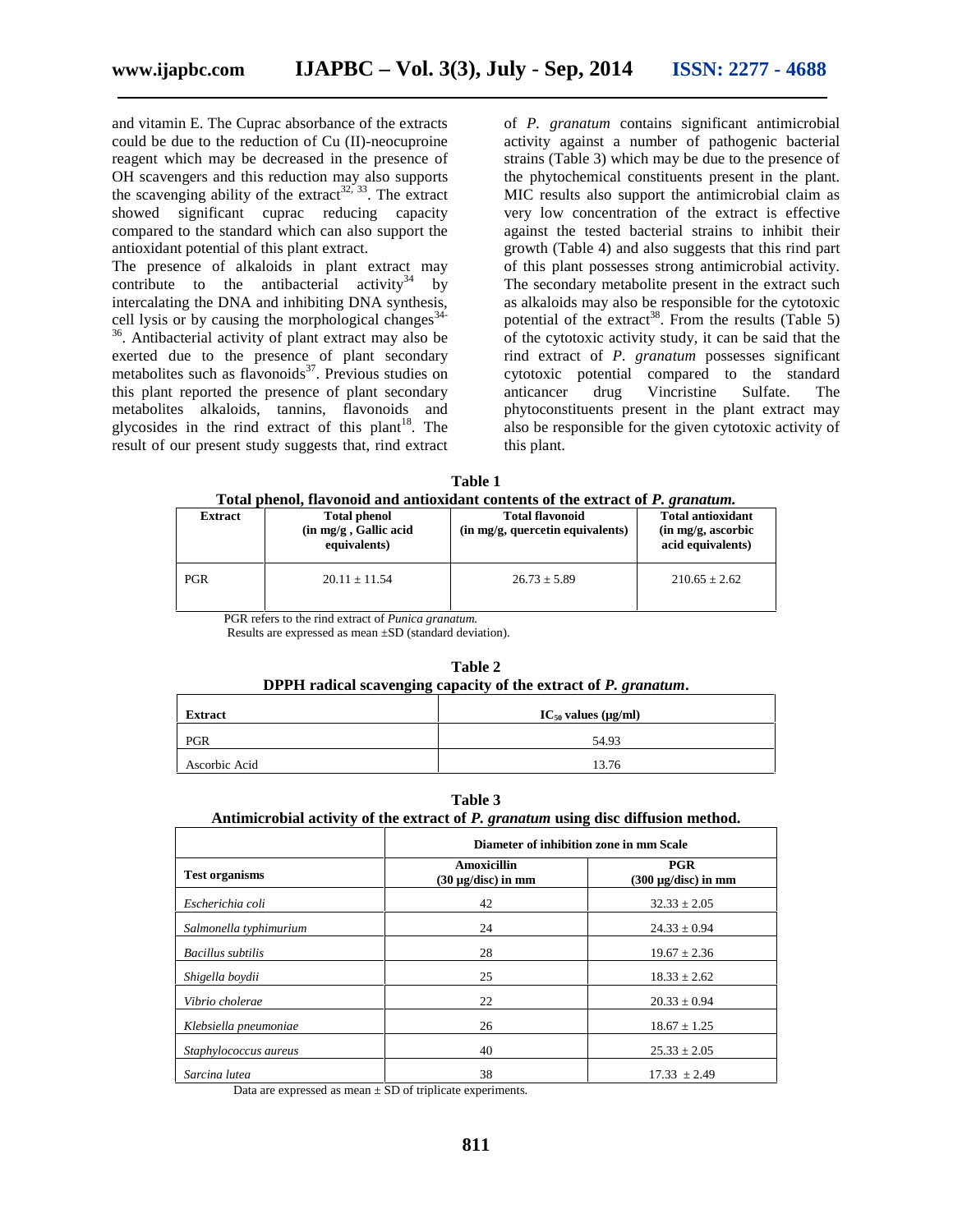and vitamin E. The Cuprac absorbance of the extracts could be due to the reduction of Cu (II)-neocuproine reagent which may be decreased in the presence of OH scavengers and this reduction may also supports the scavenging ability of the extract<sup>32, 33</sup>. The extract showed significant cuprac reducing capacity compared to the standard which can also support the antioxidant potential of this plant extract.

The presence of alkaloids in plant extract may contribute to the antibacterial activity<sup>34</sup> by intercalating the DNA and inhibiting DNA synthesis, cell lysis or by causing the morphological changes<sup>34-</sup>  $36$ . Antibacterial activity of plant extract may also be exerted due to the presence of plant secondary metabolites such as flavonoids $^{37}$ . Previous studies on this plant reported the presence of plant secondary metabolites alkaloids, tannins, flavonoids and glycosides in the rind extract of this plant<sup>18</sup>. The result of our present study suggests that, rind extract

of *P. granatum* contains significant antimicrobial activity against a number of pathogenic bacterial strains (Table 3) which may be due to the presence of the phytochemical constituents present in the plant. MIC results also support the antimicrobial claim as very low concentration of the extract is effective against the tested bacterial strains to inhibit their growth (Table 4) and also suggests that this rind part of this plant possesses strong antimicrobial activity. The secondary metabolite present in the extract such as alkaloids may also be responsible for the cytotoxic potential of the extract<sup>38</sup>. From the results (Table 5) of the cytotoxic activity study, it can be said that the rind extract of *P. granatum* possesses significant cytotoxic potential compared to the standard drug Vincristine Sulfate. The phytoconstituents present in the plant extract may also be responsible for the given cytotoxic activity of this plant.

**Table 1 Total phenol, flavonoid and antioxidant contents of the extract of** *P. granatum.*

| <b>Extract</b> | <b>Total phenol</b><br>(in mg/g, Gallic acid)<br>equivalents) | <b>Total flavonoid</b><br>(in mg/g, quercetin equivalents) | <b>Total antioxidant</b><br>(in mg/g, ascorbic)<br>acid equivalents) |
|----------------|---------------------------------------------------------------|------------------------------------------------------------|----------------------------------------------------------------------|
| <b>PGR</b>     | $20.11 \pm 11.54$                                             | $26.73 \pm 5.89$                                           | $210.65 \pm 2.62$                                                    |

PGR refers to the rind extract of *Punica granatum.*

Results are expressed as mean ±SD (standard deviation).

| DPPH radical scavenging capacity of the extract of P. granatum. |       |  |  |  |
|-----------------------------------------------------------------|-------|--|--|--|
| $IC_{50}$ values ( $\mu$ g/ml)<br>Extract                       |       |  |  |  |
| <b>PGR</b>                                                      | 54.93 |  |  |  |
| Ascorbic Acid                                                   | 13.76 |  |  |  |

**Table 2**

### **Table 3**

#### **Antimicrobial activity of the extract of** *P. granatum* **using disc diffusion method.**

|                          | Diameter of inhibition zone in mm Scale |                                        |  |
|--------------------------|-----------------------------------------|----------------------------------------|--|
| <b>Test organisms</b>    | Amoxicillin<br>$(30 \mu g/disc)$ in mm  | <b>PGR</b><br>$(300 \mu g/disc)$ in mm |  |
| Escherichia coli         | 42                                      | $32.33 \pm 2.05$                       |  |
| Salmonella typhimurium   | 24                                      | $24.33 \pm 0.94$                       |  |
| <b>Bacillus</b> subtilis | 28                                      | $19.67 \pm 2.36$                       |  |
| Shigella boydii          | 25                                      | $18.33 \pm 2.62$                       |  |
| Vibrio cholerae          | 22                                      | $20.33 \pm 0.94$                       |  |
| Klebsiella pneumoniae    | 26                                      | $18.67 \pm 1.25$                       |  |
| Staphylococcus aureus    | 40                                      | $25.33 \pm 2.05$                       |  |
| Sarcina lutea            | 38                                      | $17.33 + 2.49$                         |  |

Data are expressed as mean  $\pm$  SD of triplicate experiments.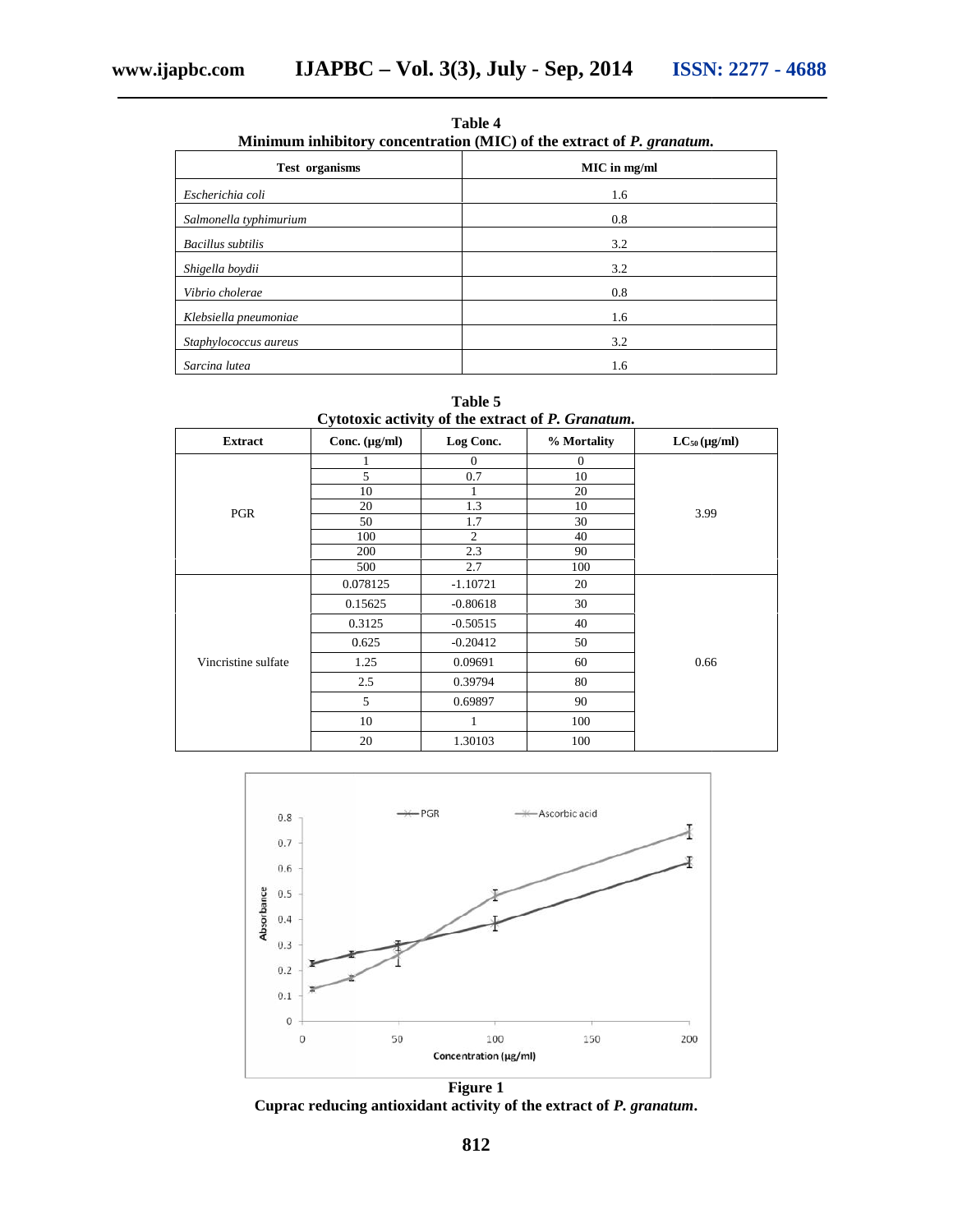**Table 4** Minimum inhibitory concentration (MIC) of the extract of *P. granatum*.

| <b>Test organisms</b>    | MIC in mg/ml |  |  |
|--------------------------|--------------|--|--|
| Escherichia coli         | 1.6          |  |  |
| Salmonella typhimurium   | 0.8          |  |  |
| <b>Bacillus</b> subtilis | 3.2          |  |  |
| Shigella boydii          | 3.2          |  |  |
| Vibrio cholerae          | 0.8          |  |  |
| Klebsiella pneumoniae    | 1.6          |  |  |
| Staphylococcus aureus    | 3.2          |  |  |
| Sarcina lutea            | 1.6          |  |  |
|                          |              |  |  |
|                          | Table 5      |  |  |

**Table 5**

| Cytotoxic activity of the extract of P. Granatum. |  |
|---------------------------------------------------|--|
|---------------------------------------------------|--|

| <b>Extract</b>      | Conc. $(\mu g/ml)$ | Log Conc.      | % Mortality      | $LC_{50}$ (µg/ml) |
|---------------------|--------------------|----------------|------------------|-------------------|
|                     |                    | $\mathbf{0}$   | $\boldsymbol{0}$ |                   |
|                     | 5                  | 0.7            | 10               |                   |
|                     | 10                 |                | 20               |                   |
| PGR                 | 20                 | 1.3            | 10               | 3.99              |
|                     | 50                 | 1.7            | 30               |                   |
|                     | 100                | $\overline{c}$ | 40               |                   |
|                     | 200                | 2.3            | 90               |                   |
|                     | 500                | 2.7            | 100              |                   |
|                     | 0.078125           | $-1.10721$     | 20               | 0.66              |
|                     | 0.15625            | $-0.80618$     | 30               |                   |
|                     | 0.3125             | $-0.50515$     | 40               |                   |
|                     | 0.625              | $-0.20412$     | 50               |                   |
| Vincristine sulfate | 1.25               | 0.09691        | 60               |                   |
|                     | 2.5                | 0.39794        | 80               |                   |
|                     | 5                  | 0.69897        | 90               |                   |
|                     | 10                 |                | 100              |                   |
|                     | 20                 | 1.30103        | 100              |                   |



Cuprac reducing antioxidant activity of the extract of *P. granatum*.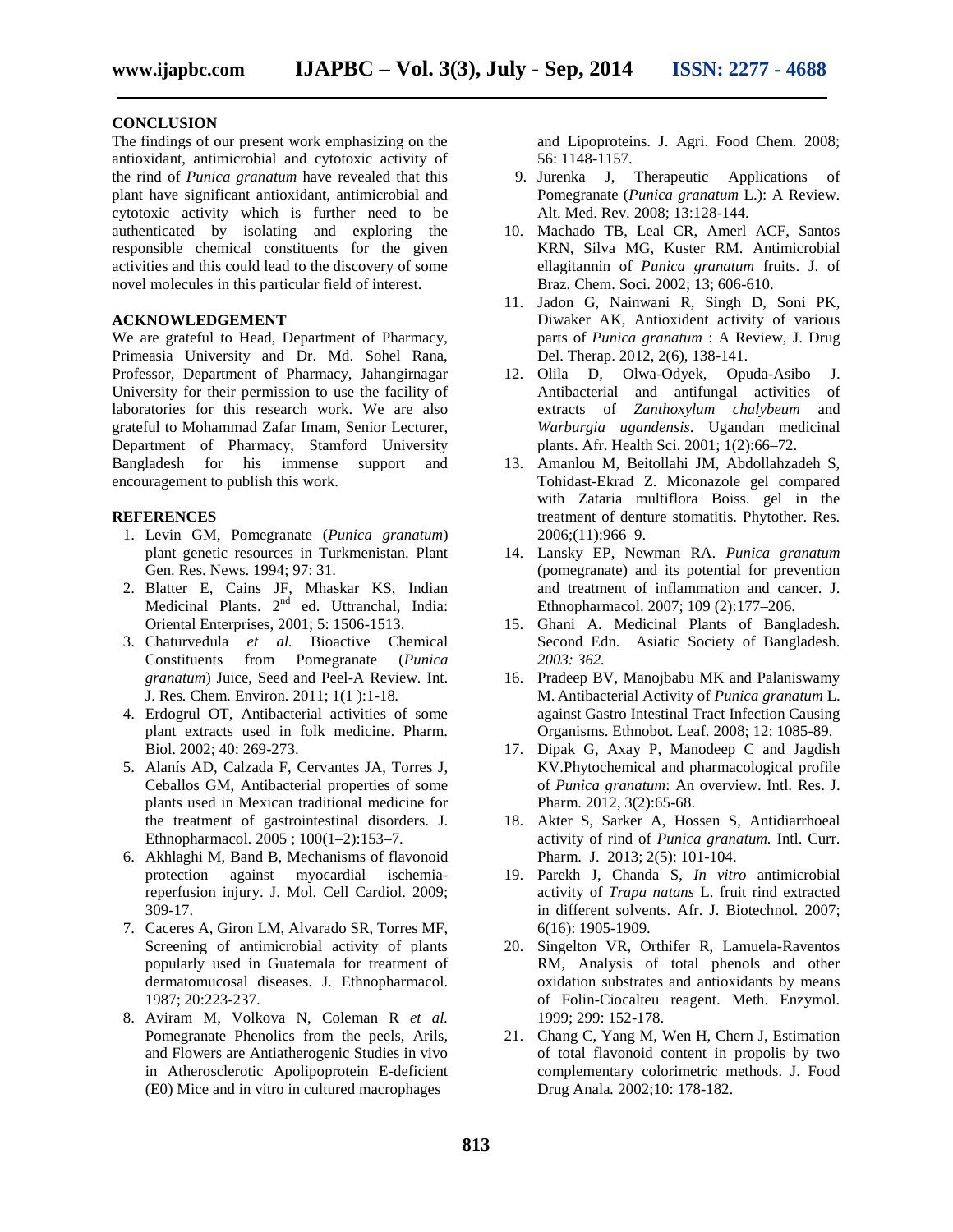#### **CONCLUSION**

The findings of our present work emphasizing on the antioxidant, antimicrobial and cytotoxic activity of the rind of *Punica granatum* have revealed that this plant have significant antioxidant, antimicrobial and cytotoxic activity which is further need to be authenticated by isolating and exploring the responsible chemical constituents for the given activities and this could lead to the discovery of some novel molecules in this particular field of interest.

# **ACKNOWLEDGEMENT**

We are grateful to Head, Department of Pharmacy, Primeasia University and Dr. Md. Sohel Rana, Professor, Department of Pharmacy, Jahangirnagar University for their permission to use the facility of laboratories for this research work. We are also grateful to Mohammad Zafar Imam, Senior Lecturer, Department of Pharmacy, Stamford University Bangladesh for his immense support and encouragement to publish this work.

# **REFERENCES**

- 1. Levin GM, Pomegranate (*Punica granatum*) plant genetic resources in Turkmenistan. Plant Gen. Res. News. 1994; 97: 31.
- 2. Blatter E, Cains JF, Mhaskar KS, Indian Medicinal Plants. 2<sup>nd</sup> ed. Uttranchal, India: Oriental Enterprises, 2001; 5: 1506-1513.
- 3. Chaturvedula *et al.* Bioactive Chemical Constituents from Pomegranate (*Punica granatum*) Juice, Seed and Peel-A Review*.* Int. J. Res*.* Chem*.* Environ*.* 2011; 1(1 ):1-18*.*
- 4. Erdogrul OT, Antibacterial activities of some plant extracts used in folk medicine. Pharm. Biol. 2002; 40: 269-273.
- 5. Alanís AD, Calzada F, Cervantes JA, Torres J, Ceballos GM, Antibacterial properties of some plants used in Mexican traditional medicine for the treatment of gastrointestinal disorders. J. Ethnopharmacol. 2005 ; 100(1–2):153–7.
- 6. Akhlaghi M, Band B, Mechanisms of flavonoid protection against myocardial ischemiareperfusion injury. J. Mol. Cell Cardiol. 2009; 309-17.
- 7. Caceres A, Giron LM, Alvarado SR, Torres MF, Screening of antimicrobial activity of plants popularly used in Guatemala for treatment of dermatomucosal diseases. J. Ethnopharmacol. 1987; 20:223-237.
- 8. Aviram M, Volkova N, Coleman R *et al.* Pomegranate Phenolics from the peels, Arils, and Flowers are Antiatherogenic Studies in vivo in Atherosclerotic Apolipoprotein E-deficient (E0) Mice and in vitro in cultured macrophages

and Lipoproteins. J. Agri. Food Chem. 2008; 56: 1148-1157.

- 9. Jurenka J, Therapeutic Applications of Pomegranate (*Punica granatum* L.): A Review. Alt. Med. Rev. 2008; 13:128-144.
- 10. Machado TB, Leal CR, Amerl ACF, Santos KRN, Silva MG, Kuster RM. Antimicrobial ellagitannin of *Punica granatum* fruits. J. of Braz. Chem. Soci. 2002; 13; 606-610.
- 11. Jadon G, Nainwani R, Singh D, Soni PK, Diwaker AK, Antioxident activity of various parts of *Punica granatum* : A Review, J. Drug Del. Therap. 2012, 2(6), 138-141.
- 12. Olila D, Olwa-Odyek, Opuda-Asibo J. Antibacterial and antifungal activities of extracts of *Zanthoxylum chalybeum* and *Warburgia ugandensis*. Ugandan medicinal plants. Afr. Health Sci. 2001; 1(2):66–72.
- 13. Amanlou M, Beitollahi JM, Abdollahzadeh S, Tohidast-Ekrad Z. Miconazole gel compared with Zataria multiflora Boiss. gel in the treatment of denture stomatitis. Phytother. Res. 2006;(11):966–9.
- 14. Lansky EP, Newman RA. *Punica granatum* (pomegranate) and its potential for prevention and treatment of inflammation and cancer. J. Ethnopharmacol. 2007; 109 (2):177–206.
- 15. Ghani A. Medicinal Plants of Bangladesh. Second Edn. Asiatic Society of Bangladesh. *2003: 362.*
- 16. Pradeep BV, Manojbabu MK and Palaniswamy M. Antibacterial Activity of *Punica granatum* L. against Gastro Intestinal Tract Infection Causing Organisms. Ethnobot. Leaf. 2008; 12: 1085-89.
- 17. Dipak G, Axay P, Manodeep C and Jagdish KV.Phytochemical and pharmacological profile of *Punica granatum*: An overview. Intl. Res. J. Pharm. 2012, 3(2):65-68.
- 18. Akter S, Sarker A, Hossen S, Antidiarrhoeal activity of rind of *Punica granatum.* Intl. Curr. Pharm. J. 2013; 2(5): 101-104.
- 19. Parekh J, Chanda S, *In vitro* antimicrobial activity of *Trapa natans* L. fruit rind extracted in different solvents. Afr. J. Biotechnol. 2007; 6(16): 1905-1909.
- 20. Singelton VR, Orthifer R, Lamuela-Raventos RM, Analysis of total phenols and other oxidation substrates and antioxidants by means of Folin-Ciocalteu reagent. Meth. Enzymol. 1999; 299: 152-178.
- 21. Chang C, Yang M, Wen H, Chern J, Estimation of total flavonoid content in propolis by two complementary colorimetric methods. J. Food Drug Anala*.* 2002;10: 178-182.